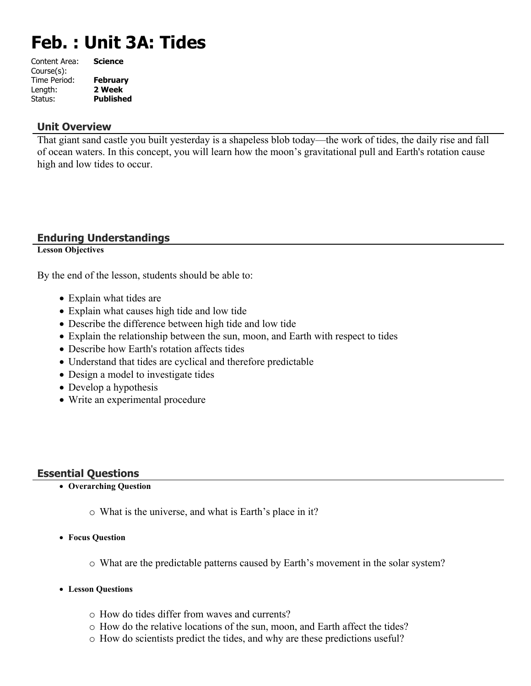# **Feb. : Unit 3A: Tides**

| Content Area: | <b>Science</b>   |
|---------------|------------------|
| Course(s):    |                  |
| Time Period:  | <b>February</b>  |
| Length:       | 2 Week           |
| Status:       | <b>Published</b> |
|               |                  |

## **Unit Overview**

That giant sand castle you built yesterday is a shapeless blob today—the work of tides, the daily rise and fall of ocean waters. In this concept, you will learn how the moon's gravitational pull and Earth's rotation cause high and low tides to occur.

## **Enduring Understandings**

**Lesson Objectives**

By the end of the lesson, students should be able to:

- Explain what tides are
- Explain what causes high tide and low tide
- Describe the difference between high tide and low tide
- Explain the relationship between the sun, moon, and Earth with respect to tides
- Describe how Earth's rotation affects tides
- Understand that tides are cyclical and therefore predictable
- Design a model to investigate tides
- Develop a hypothesis
- Write an experimental procedure

## **Essential Questions**

- **Overarching Question**
	- o What is the universe, and what is Earth's place in it?
- **Focus Question**
	- o What are the predictable patterns caused by Earth's movement in the solar system?
- **Lesson Questions**
	- o How do tides differ from waves and currents?
	- o How do the relative locations of the sun, moon, and Earth affect the tides?
	- o How do scientists predict the tides, and why are these predictions useful?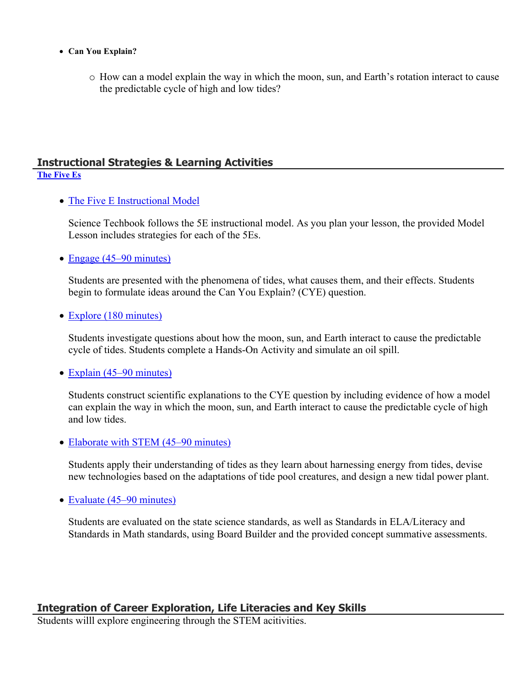- **Can You Explain?**
	- o How can a model explain the way in which the moon, sun, and Earth's rotation interact to cause the predictable cycle of high and low tides?

#### **Instructional Strategies & Learning Activities [The Five Es](https://app.discoveryeducation.com/learn/techbook/units/c3ee5e64-c45f-447e-bbd8-cf869f21f1de/concepts/b5b795d3-27ca-43e9-b118-9d3ab68db94e/lesson/sections/52f075ea-ffb7-4ee2-8ed0-49230ddac911)**

• [The Five E Instructional Model](https://app.discoveryeducation.com/learn/techbook/units/c3ee5e64-c45f-447e-bbd8-cf869f21f1de/concepts/b5b795d3-27ca-43e9-b118-9d3ab68db94e/lesson/sections/52f075ea-ffb7-4ee2-8ed0-49230ddac911#86ab26f7-773c-49a3-b614-ca785a3d26f0)

Science Techbook follows the 5E instructional model. As you plan your lesson, the provided Model Lesson includes strategies for each of the 5Es.

• [Engage \(45–90 minutes\)](https://app.discoveryeducation.com/learn/techbook/units/c3ee5e64-c45f-447e-bbd8-cf869f21f1de/concepts/b5b795d3-27ca-43e9-b118-9d3ab68db94e/lesson/sections/52f075ea-ffb7-4ee2-8ed0-49230ddac911#5d27b8e4-7db5-4e9e-82f6-f5c4bf8ad457)

Students are presented with the phenomena of tides, what causes them, and their effects. Students begin to formulate ideas around the Can You Explain? (CYE) question.

• [Explore \(180 minutes\)](https://app.discoveryeducation.com/learn/techbook/units/c3ee5e64-c45f-447e-bbd8-cf869f21f1de/concepts/b5b795d3-27ca-43e9-b118-9d3ab68db94e/lesson/sections/52f075ea-ffb7-4ee2-8ed0-49230ddac911#61a86ca6-28ae-44f2-9b14-708c8531c5b4)

Students investigate questions about how the moon, sun, and Earth interact to cause the predictable cycle of tides. Students complete a Hands-On Activity and simulate an oil spill.

• [Explain \(45–90 minutes\)](https://app.discoveryeducation.com/learn/techbook/units/c3ee5e64-c45f-447e-bbd8-cf869f21f1de/concepts/b5b795d3-27ca-43e9-b118-9d3ab68db94e/lesson/sections/52f075ea-ffb7-4ee2-8ed0-49230ddac911#e794ca55-9722-4b8f-8221-d9ca2f9da960)

Students construct scientific explanations to the CYE question by including evidence of how a model can explain the way in which the moon, sun, and Earth interact to cause the predictable cycle of high and low tides.

• [Elaborate with STEM \(45–90 minutes\)](https://app.discoveryeducation.com/learn/techbook/units/c3ee5e64-c45f-447e-bbd8-cf869f21f1de/concepts/b5b795d3-27ca-43e9-b118-9d3ab68db94e/lesson/sections/52f075ea-ffb7-4ee2-8ed0-49230ddac911#997fb8ed-a1d9-4679-87d7-7c6cf3031f10)

Students apply their understanding of tides as they learn about harnessing energy from tides, devise new technologies based on the adaptations of tide pool creatures, and design a new tidal power plant.

• [Evaluate \(45–90 minutes\)](https://app.discoveryeducation.com/learn/techbook/units/c3ee5e64-c45f-447e-bbd8-cf869f21f1de/concepts/b5b795d3-27ca-43e9-b118-9d3ab68db94e/lesson/sections/52f075ea-ffb7-4ee2-8ed0-49230ddac911#50882ab5-b2ad-4214-987f-36a0c3596a13)

Students are evaluated on the state science standards, as well as Standards in ELA/Literacy and Standards in Math standards, using Board Builder and the provided concept summative assessments.

## **Integration of Career Exploration, Life Literacies and Key Skills**

Students willl explore engineering through the STEM acitivities.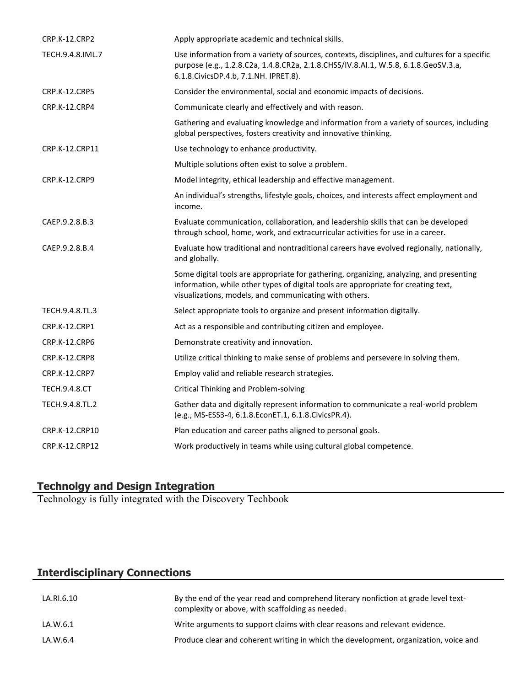| <b>CRP.K-12.CRP2</b> | Apply appropriate academic and technical skills.                                                                                                                                                                                        |
|----------------------|-----------------------------------------------------------------------------------------------------------------------------------------------------------------------------------------------------------------------------------------|
| TECH.9.4.8.IML.7     | Use information from a variety of sources, contexts, disciplines, and cultures for a specific<br>purpose (e.g., 1.2.8.C2a, 1.4.8.CR2a, 2.1.8.CHSS/IV.8.AI.1, W.5.8, 6.1.8.GeoSV.3.a,<br>6.1.8. Civics DP. 4.b, 7.1. NH. IPRET. 8).      |
| <b>CRP.K-12.CRP5</b> | Consider the environmental, social and economic impacts of decisions.                                                                                                                                                                   |
| CRP.K-12.CRP4        | Communicate clearly and effectively and with reason.                                                                                                                                                                                    |
|                      | Gathering and evaluating knowledge and information from a variety of sources, including<br>global perspectives, fosters creativity and innovative thinking.                                                                             |
| CRP.K-12.CRP11       | Use technology to enhance productivity.                                                                                                                                                                                                 |
|                      | Multiple solutions often exist to solve a problem.                                                                                                                                                                                      |
| <b>CRP.K-12.CRP9</b> | Model integrity, ethical leadership and effective management.                                                                                                                                                                           |
|                      | An individual's strengths, lifestyle goals, choices, and interests affect employment and<br>income.                                                                                                                                     |
| CAEP.9.2.8.B.3       | Evaluate communication, collaboration, and leadership skills that can be developed<br>through school, home, work, and extracurricular activities for use in a career.                                                                   |
| CAEP.9.2.8.B.4       | Evaluate how traditional and nontraditional careers have evolved regionally, nationally,<br>and globally.                                                                                                                               |
|                      | Some digital tools are appropriate for gathering, organizing, analyzing, and presenting<br>information, while other types of digital tools are appropriate for creating text,<br>visualizations, models, and communicating with others. |
| TECH.9.4.8.TL.3      | Select appropriate tools to organize and present information digitally.                                                                                                                                                                 |
| CRP.K-12.CRP1        | Act as a responsible and contributing citizen and employee.                                                                                                                                                                             |
| CRP.K-12.CRP6        | Demonstrate creativity and innovation.                                                                                                                                                                                                  |
| CRP.K-12.CRP8        | Utilize critical thinking to make sense of problems and persevere in solving them.                                                                                                                                                      |
| <b>CRP.K-12.CRP7</b> | Employ valid and reliable research strategies.                                                                                                                                                                                          |
| TECH.9.4.8.CT        | <b>Critical Thinking and Problem-solving</b>                                                                                                                                                                                            |
| TECH.9.4.8.TL.2      | Gather data and digitally represent information to communicate a real-world problem<br>(e.g., MS-ESS3-4, 6.1.8.EconET.1, 6.1.8.CivicsPR.4).                                                                                             |
| CRP.K-12.CRP10       | Plan education and career paths aligned to personal goals.                                                                                                                                                                              |
| CRP.K-12.CRP12       | Work productively in teams while using cultural global competence.                                                                                                                                                                      |
|                      |                                                                                                                                                                                                                                         |

## **Technolgy and Design Integration**

Technology is fully integrated with the Discovery Techbook

## **Interdisciplinary Connections**

| LA.RI.6.10 | By the end of the year read and comprehend literary nonfiction at grade level text-<br>complexity or above, with scaffolding as needed. |
|------------|-----------------------------------------------------------------------------------------------------------------------------------------|
| LA.W.6.1   | Write arguments to support claims with clear reasons and relevant evidence.                                                             |
| LA.W.6.4   | Produce clear and coherent writing in which the development, organization, voice and                                                    |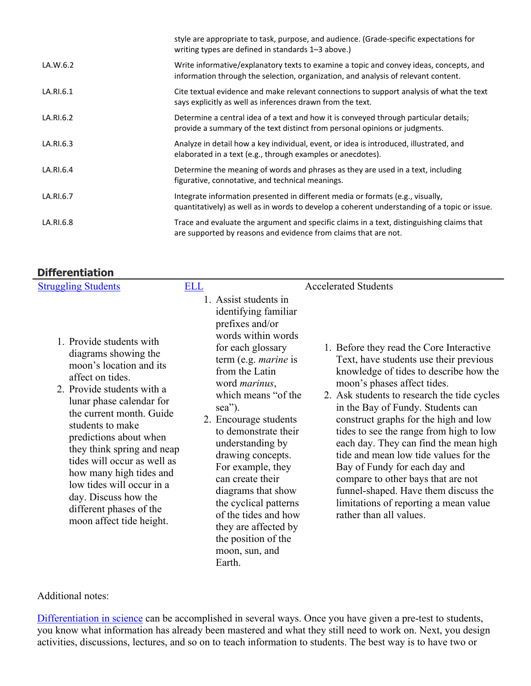|           | style are appropriate to task, purpose, and audience. (Grade-specific expectations for<br>writing types are defined in standards 1-3 above.)                                   |
|-----------|--------------------------------------------------------------------------------------------------------------------------------------------------------------------------------|
| LA.W.6.2  | Write informative/explanatory texts to examine a topic and convey ideas, concepts, and<br>information through the selection, organization, and analysis of relevant content.   |
| LA.RI.6.1 | Cite textual evidence and make relevant connections to support analysis of what the text<br>says explicitly as well as inferences drawn from the text.                         |
| LA.RI.6.2 | Determine a central idea of a text and how it is conveyed through particular details;<br>provide a summary of the text distinct from personal opinions or judgments.           |
| LA.RI.6.3 | Analyze in detail how a key individual, event, or idea is introduced, illustrated, and<br>elaborated in a text (e.g., through examples or anecdotes).                          |
| LA.RI.6.4 | Determine the meaning of words and phrases as they are used in a text, including<br>figurative, connotative, and technical meanings.                                           |
| LA.RI.6.7 | Integrate information presented in different media or formats (e.g., visually,<br>quantitatively) as well as in words to develop a coherent understanding of a topic or issue. |
| LA.RI.6.8 | Trace and evaluate the argument and specific claims in a text, distinguishing claims that<br>are supported by reasons and evidence from claims that are not.                   |

## **Differentiation**

| <b>Struggling Students</b>                                                                                                                                                                                                                                                                                                                                                                                                              | <b>ELL</b> |                                                                                                                                                                                                                                                                                                                                                                                                                                                                                                             | <b>Accelerated Students</b>                                                                                                                                                                                                                                                                                                                                                                                                                                                                                                                                                                              |
|-----------------------------------------------------------------------------------------------------------------------------------------------------------------------------------------------------------------------------------------------------------------------------------------------------------------------------------------------------------------------------------------------------------------------------------------|------------|-------------------------------------------------------------------------------------------------------------------------------------------------------------------------------------------------------------------------------------------------------------------------------------------------------------------------------------------------------------------------------------------------------------------------------------------------------------------------------------------------------------|----------------------------------------------------------------------------------------------------------------------------------------------------------------------------------------------------------------------------------------------------------------------------------------------------------------------------------------------------------------------------------------------------------------------------------------------------------------------------------------------------------------------------------------------------------------------------------------------------------|
| 1. Provide students with<br>diagrams showing the<br>moon's location and its<br>affect on tides.<br>2. Provide students with a<br>lunar phase calendar for<br>the current month. Guide<br>students to make<br>predictions about when<br>they think spring and neap<br>tides will occur as well as<br>how many high tides and<br>low tides will occur in a<br>day. Discuss how the<br>different phases of the<br>moon affect tide height. |            | 1. Assist students in<br>identifying familiar<br>prefixes and/or<br>words within words<br>for each glossary<br>term (e.g. <i>marine</i> is<br>from the Latin<br>word <i>marinus</i> ,<br>which means "of the<br>sea").<br>2. Encourage students<br>to demonstrate their<br>understanding by<br>drawing concepts.<br>For example, they<br>can create their<br>diagrams that show<br>the cyclical patterns<br>of the tides and how<br>they are affected by<br>the position of the<br>moon, sun, and<br>Earth. | 1. Before they read the Core Interactive<br>Text, have students use their previous<br>knowledge of tides to describe how the<br>moon's phases affect tides.<br>2. Ask students to research the tide cycles<br>in the Bay of Fundy. Students can<br>construct graphs for the high and low<br>tides to see the range from high to low<br>each day. They can find the mean high<br>tide and mean low tide values for the<br>Bay of Fundy for each day and<br>compare to other bays that are not<br>funnel-shaped. Have them discuss the<br>limitations of reporting a mean value<br>rather than all values. |

#### Additional notes:

[Differentiation in science](http://www.brighthubeducation.com/teaching-gifted-students/65181-differentiation-techniques-and-activities-in-the-classroom-for-gifted-students/) can be accomplished in several ways. Once you have given a pre-test to students, you know what information has already been mastered and what they still need to work on. Next, you design activities, discussions, lectures, and so on to teach information to students. The best way is to have two or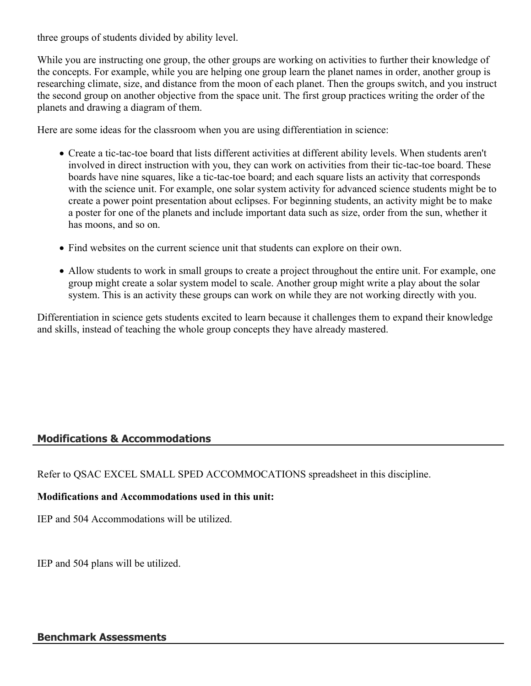three groups of students divided by ability level.

While you are instructing one group, the other groups are working on activities to further their knowledge of the concepts. For example, while you are helping one group learn the planet names in order, another group is researching climate, size, and distance from the moon of each planet. Then the groups switch, and you instruct the second group on another objective from the space unit. The first group practices writing the order of the planets and drawing a diagram of them.

Here are some ideas for the classroom when you are using differentiation in science:

- Create a tic-tac-toe board that lists different activities at different ability levels. When students aren't involved in direct instruction with you, they can work on activities from their tic-tac-toe board. These boards have nine squares, like a tic-tac-toe board; and each square lists an activity that corresponds with the science unit. For example, one solar system activity for advanced science students might be to create a power point presentation about eclipses. For beginning students, an activity might be to make a poster for one of the planets and include important data such as size, order from the sun, whether it has moons, and so on.
- Find websites on the current science unit that students can explore on their own.
- Allow students to work in small groups to create a project throughout the entire unit. For example, one group might create a solar system model to scale. Another group might write a play about the solar system. This is an activity these groups can work on while they are not working directly with you.

Differentiation in science gets students excited to learn because it challenges them to expand their knowledge and skills, instead of teaching the whole group concepts they have already mastered.

## **Modifications & Accommodations**

Refer to QSAC EXCEL SMALL SPED ACCOMMOCATIONS spreadsheet in this discipline.

## **Modifications and Accommodations used in this unit:**

IEP and 504 Accommodations will be utilized.

IEP and 504 plans will be utilized.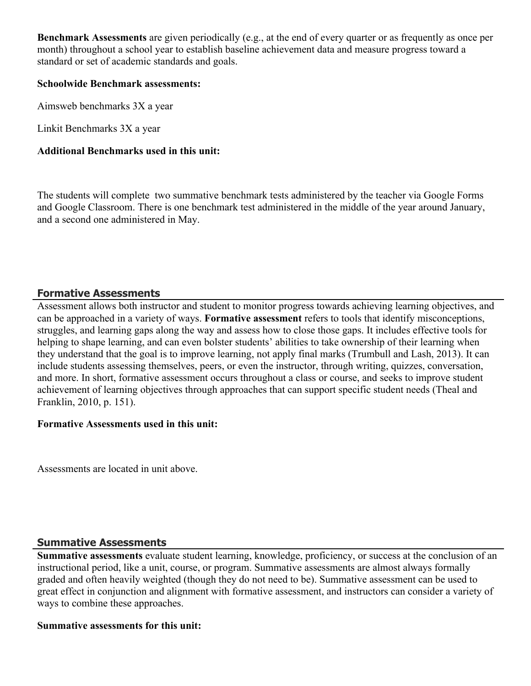**Benchmark Assessments** are given periodically (e.g., at the end of every quarter or as frequently as once per month) throughout a school year to establish baseline achievement data and measure progress toward a standard or set of academic standards and goals.

#### **Schoolwide Benchmark assessments:**

Aimsweb benchmarks 3X a year

Linkit Benchmarks 3X a year

## **Additional Benchmarks used in this unit:**

The students will complete two summative benchmark tests administered by the teacher via Google Forms and Google Classroom. There is one benchmark test administered in the middle of the year around January, and a second one administered in May.

## **Formative Assessments**

Assessment allows both instructor and student to monitor progress towards achieving learning objectives, and can be approached in a variety of ways. **Formative assessment** refers to tools that identify misconceptions, struggles, and learning gaps along the way and assess how to close those gaps. It includes effective tools for helping to shape learning, and can even bolster students' abilities to take ownership of their learning when they understand that the goal is to improve learning, not apply final marks (Trumbull and Lash, 2013). It can include students assessing themselves, peers, or even the instructor, through writing, quizzes, conversation, and more. In short, formative assessment occurs throughout a class or course, and seeks to improve student achievement of learning objectives through approaches that can support specific student needs (Theal and Franklin, 2010, p. 151).

#### **Formative Assessments used in this unit:**

Assessments are located in unit above.

## **Summative Assessments**

**Summative assessments** evaluate student learning, knowledge, proficiency, or success at the conclusion of an instructional period, like a unit, course, or program. Summative assessments are almost always formally graded and often heavily weighted (though they do not need to be). Summative assessment can be used to great effect in conjunction and alignment with formative assessment, and instructors can consider a variety of ways to combine these approaches.

#### **Summative assessments for this unit:**